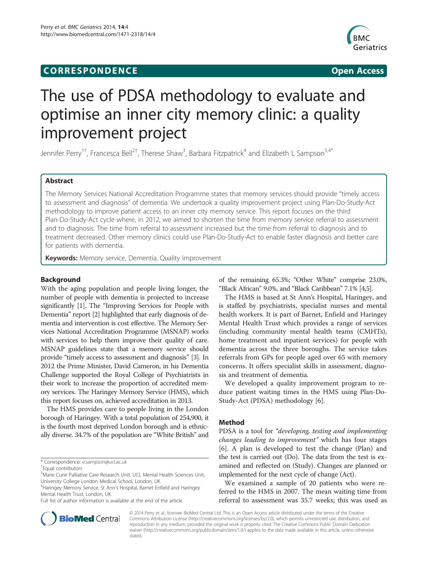## **CORRESPONDENCE CORRESPONDENCE**



# The use of PDSA methodology to evaluate and optimise an inner city memory clinic: a quality improvement project

Jennifer Perry<sup>1†</sup>, Francesca Bell<sup>2†</sup>, Therese Shaw<sup>3</sup>, Barbara Fitzpatrick<sup>4</sup> and Elizabeth L Sampson<sup>5,4\*</sup>

## Abstract

The Memory Services National Accreditation Programme states that memory services should provide "timely access to assessment and diagnosis" of dementia. We undertook a quality improvement project using Plan-Do-Study-Act methodology to improve patient access to an inner city memory service. This report focuses on the third Plan-Do-Study-Act cycle where, in 2012, we aimed to shorten the time from memory service referral to assessment and to diagnosis. The time from referral to assessment increased but the time from referral to diagnosis and to treatment decreased. Other memory clinics could use Plan-Do-Study-Act to enable faster diagnosis and better care for patients with dementia.

Keywords: Memory service, Dementia, Quality improvement

## Background

With the aging population and people living longer, the number of people with dementia is projected to increase significantly [\[1](#page-4-0)]. The "Improving Services for People with Dementia" report [\[2](#page-4-0)] highlighted that early diagnosis of dementia and intervention is cost effective. The Memory Services National Accreditation Programme (MSNAP) works with services to help them improve their quality of care. MSNAP guidelines state that a memory service should provide "timely access to assessment and diagnosis" [\[3\]](#page-4-0). In 2012 the Prime Minister, David Cameron, in his Dementia Challenge supported the Royal College of Psychiatrists in their work to increase the proportion of accredited memory services. The Haringey Memory Service (HMS), which this report focuses on, achieved accreditation in 2013.

The HMS provides care to people living in the London borough of Haringey. With a total population of 254,900, it is the fourth most deprived London borough and is ethnically diverse. 34.7% of the population are "White British" and



The HMS is based at St Ann's Hospital, Haringey, and is staffed by psychiatrists, specialist nurses and mental health workers. It is part of Barnet, Enfield and Haringey Mental Health Trust which provides a range of services (including community mental health teams (CMHTs), home treatment and inpatient services) for people with dementia across the three boroughs. The service takes referrals from GPs for people aged over 65 with memory concerns. It offers specialist skills in assessment, diagnosis and treatment of dementia.

We developed a quality improvement program to reduce patient waiting times in the HMS using Plan-Do-Study-Act (PDSA) methodology [\[6\]](#page-4-0).

#### Method

PDSA is a tool for "developing, testing and implementing changes leading to improvement" which has four stages [[6\]](#page-4-0). A plan is developed to test the change (Plan) and the test is carried out (Do). The data from the test is examined and reflected on (Study). Changes are planned or implemented for the next cycle of change (Act).

We examined a sample of 20 patients who were referred to the HMS in 2007. The mean waiting time from referral to assessment was 35.7 weeks; this was used as



© 2014 Perry et al.; licensee BioMed Central Ltd. This is an Open Access article distributed under the terms of the Creative Commons Attribution License [\(http://creativecommons.org/licenses/by/2.0\)](http://creativecommons.org/licenses/by/2.0), which permits unrestricted use, distribution, and reproduction in any medium, provided the original work is properly cited. The Creative Commons Public Domain Dedication waiver [\(http://creativecommons.org/publicdomain/zero/1.0/\)](http://creativecommons.org/publicdomain/zero/1.0/) applies to the data made available in this article, unless otherwise stated.

<sup>\*</sup> Correspondence: [e.sampson@ucl.ac.uk](mailto:e.sampson@ucl.ac.uk) †

Equal contributors

<sup>5</sup> Marie Curie Palliative Care Research Unit, UCL Mental Health Sciences Unit, University College London Medical School, London, UK

<sup>4</sup> Haringey Memory Service, St Ann's Hospital, Barnet Enfield and Haringey Mental Health Trust, London, UK

Full list of author information is available at the end of the article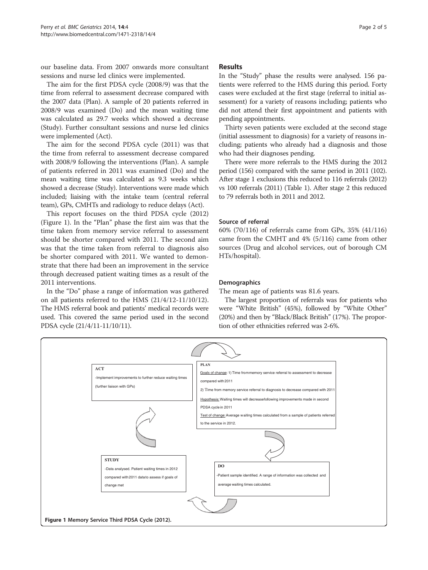our baseline data. From 2007 onwards more consultant sessions and nurse led clinics were implemented.

The aim for the first PDSA cycle (2008/9) was that the time from referral to assessment decrease compared with the 2007 data (Plan). A sample of 20 patients referred in 2008/9 was examined (Do) and the mean waiting time was calculated as 29.7 weeks which showed a decrease (Study). Further consultant sessions and nurse led clinics were implemented (Act).

The aim for the second PDSA cycle (2011) was that the time from referral to assessment decrease compared with 2008/9 following the interventions (Plan). A sample of patients referred in 2011 was examined (Do) and the mean waiting time was calculated as 9.3 weeks which showed a decrease (Study). Interventions were made which included; liaising with the intake team (central referral team), GPs, CMHTs and radiology to reduce delays (Act).

This report focuses on the third PDSA cycle (2012) (Figure 1). In the "Plan" phase the first aim was that the time taken from memory service referral to assessment should be shorter compared with 2011. The second aim was that the time taken from referral to diagnosis also be shorter compared with 2011. We wanted to demonstrate that there had been an improvement in the service through decreased patient waiting times as a result of the 2011 interventions.

In the "Do" phase a range of information was gathered on all patients referred to the HMS (21/4/12-11/10/12). The HMS referral book and patients' medical records were used. This covered the same period used in the second PDSA cycle (21/4/11-11/10/11).

## Results

In the "Study" phase the results were analysed. 156 patients were referred to the HMS during this period. Forty cases were excluded at the first stage (referral to initial assessment) for a variety of reasons including; patients who did not attend their first appointment and patients with pending appointments.

Thirty seven patients were excluded at the second stage (initial assessment to diagnosis) for a variety of reasons including; patients who already had a diagnosis and those who had their diagnoses pending.

There were more referrals to the HMS during the 2012 period (156) compared with the same period in 2011 (102). After stage 1 exclusions this reduced to 116 referrals (2012) vs 100 referrals (2011) (Table [1\)](#page-2-0). After stage 2 this reduced to 79 referrals both in 2011 and 2012.

## Source of referral

60% (70/116) of referrals came from GPs, 35% (41/116) came from the CMHT and 4% (5/116) came from other sources (Drug and alcohol services, out of borough CM HTs/hospital).

## **Demographics**

The mean age of patients was 81.6 years.

The largest proportion of referrals was for patients who were "White British" (45%), followed by "White Other" (20%) and then by "Black/Black British" (17%). The proportion of other ethnicities referred was 2-6%.

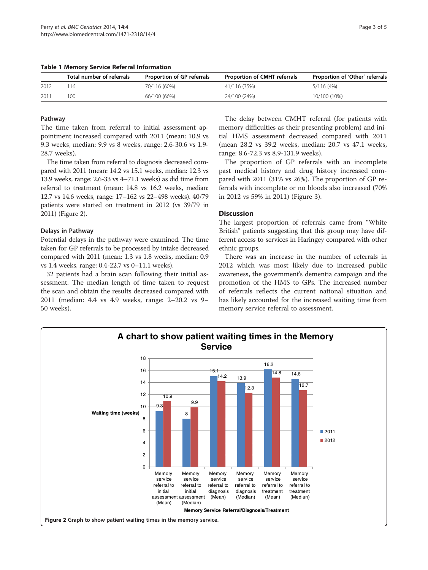<span id="page-2-0"></span>Table 1 Memory Service Referral Information

|       | Total number of referrals | Proportion of GP referrals | Proportion of CMHT referrals | Proportion of 'Other' referrals |
|-------|---------------------------|----------------------------|------------------------------|---------------------------------|
| -2012 |                           | 70/116 (60%)               | 41/116 (35%)                 | 5/116 (4%)                      |
| 2011  | 1 O.C                     | 66/100 (66%)               | 24/100 (24%)                 | 10/100 (10%)                    |

### Pathway

The time taken from referral to initial assessment appointment increased compared with 2011 (mean: 10.9 vs 9.3 weeks, median: 9.9 vs 8 weeks, range: 2.6-30.6 vs 1.9- 28.7 weeks).

The time taken from referral to diagnosis decreased compared with 2011 (mean: 14.2 vs 15.1 weeks, median: 12.3 vs 13.9 weeks, range: 2.6-33 vs 4–71.1 weeks) as did time from referral to treatment (mean: 14.8 vs 16.2 weeks, median: 12.7 vs 14.6 weeks, range: 17–162 vs 22–498 weeks). 40/79 patients were started on treatment in 2012 (vs 39/79 in 2011) (Figure 2).

## Delays in Pathway

Potential delays in the pathway were examined. The time taken for GP referrals to be processed by intake decreased compared with 2011 (mean: 1.3 vs 1.8 weeks, median: 0.9 vs 1.4 weeks, range: 0.4-22.7 vs 0–11.1 weeks).

32 patients had a brain scan following their initial assessment. The median length of time taken to request the scan and obtain the results decreased compared with 2011 (median: 4.4 vs 4.9 weeks, range: 2–20.2 vs 9– 50 weeks).

The delay between CMHT referral (for patients with memory difficulties as their presenting problem) and initial HMS assessment decreased compared with 2011 (mean 28.2 vs 39.2 weeks, median: 20.7 vs 47.1 weeks, range: 8.6-72.3 vs 8.9-131.9 weeks).

The proportion of GP referrals with an incomplete past medical history and drug history increased compared with 2011 (31% vs 26%). The proportion of GP referrals with incomplete or no bloods also increased (70% in 2012 vs 59% in 2011) (Figure [3](#page-3-0)).

## Discussion

The largest proportion of referrals came from "White British" patients suggesting that this group may have different access to services in Haringey compared with other ethnic groups.

There was an increase in the number of referrals in 2012 which was most likely due to increased public awareness, the government's dementia campaign and the promotion of the HMS to GPs. The increased number of referrals reflects the current national situation and has likely accounted for the increased waiting time from memory service referral to assessment.

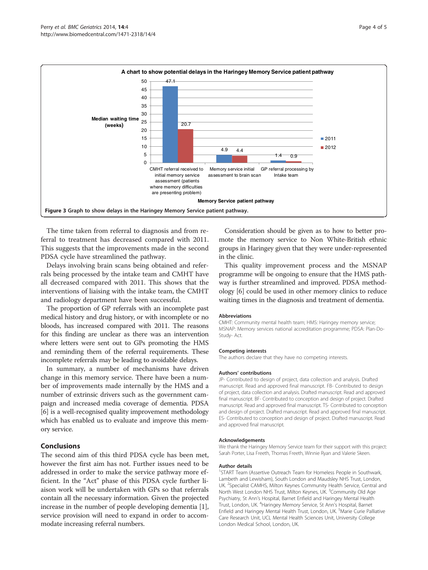<span id="page-3-0"></span>

The time taken from referral to diagnosis and from referral to treatment has decreased compared with 2011. This suggests that the improvements made in the second PDSA cycle have streamlined the pathway.

Delays involving brain scans being obtained and referrals being processed by the intake team and CMHT have all decreased compared with 2011. This shows that the interventions of liaising with the intake team, the CMHT and radiology department have been successful.

The proportion of GP referrals with an incomplete past medical history and drug history, or with incomplete or no bloods, has increased compared with 2011. The reasons for this finding are unclear as there was an intervention where letters were sent out to GPs promoting the HMS and reminding them of the referral requirements. These incomplete referrals may be leading to avoidable delays.

In summary, a number of mechanisms have driven change in this memory service. There have been a number of improvements made internally by the HMS and a number of extrinsic drivers such as the government campaign and increased media coverage of dementia. PDSA [[6\]](#page-4-0) is a well-recognised quality improvement methodology which has enabled us to evaluate and improve this memory service.

## Conclusions

The second aim of this third PDSA cycle has been met, however the first aim has not. Further issues need to be addressed in order to make the service pathway more efficient. In the "Act" phase of this PDSA cycle further liaison work will be undertaken with GPs so that referrals contain all the necessary information. Given the projected increase in the number of people developing dementia [[1](#page-4-0)], service provision will need to expand in order to accommodate increasing referral numbers.

Consideration should be given as to how to better promote the memory service to Non White-British ethnic groups in Haringey given that they were under-represented in the clinic.

This quality improvement process and the MSNAP programme will be ongoing to ensure that the HMS pathway is further streamlined and improved. PDSA methodology [\[6](#page-4-0)] could be used in other memory clinics to reduce waiting times in the diagnosis and treatment of dementia.

#### Abbreviations

CMHT: Community mental health team; HMS: Haringey memory service; MSNAP: Memory services national accreditation programme; PDSA: Plan-Do-Study- Act.

#### Competing interests

The authors declare that they have no competing interests.

#### Authors' contributions

JP- Contributed to design of project, data collection and analysis. Drafted manuscript. Read and approved final manuscript. FB- Contributed to design of project, data collection and analysis. Drafted manuscript. Read and approved final manuscript. BF- Contributed to conception and design of project. Drafted manuscript. Read and approved final manuscript. TS- Contributed to conception and design of project. Drafted manuscript. Read and approved final manuscript. ES- Contributed to conception and design of project. Drafted manuscript. Read and approved final manuscript.

#### Acknowledgements

We thank the Haringey Memory Service team for their support with this project: Sarah Porter, Lisa Freeth, Thomas Freeth, Winnie Ryan and Valerie Skeen.

#### Author details

<sup>1</sup>START Team (Assertive Outreach Team for Homeless People in Southwark Lambeth and Lewisham), South London and Maudsley NHS Trust, London, UK. <sup>2</sup>Specialist CAMHS, Milton Keynes Community Health Service, Central and North West London NHS Trust, Milton Keynes, UK. <sup>3</sup>Community Old Age Psychiatry, St Ann's Hospital, Barnet Enfield and Haringey Mental Health Trust, London, UK. <sup>4</sup>Haringey Memory Service, St Ann's Hospital, Barnet Enfield and Haringey Mental Health Trust, London, UK. <sup>5</sup>Marie Curie Palliative Care Research Unit, UCL Mental Health Sciences Unit, University College London Medical School, London, UK.